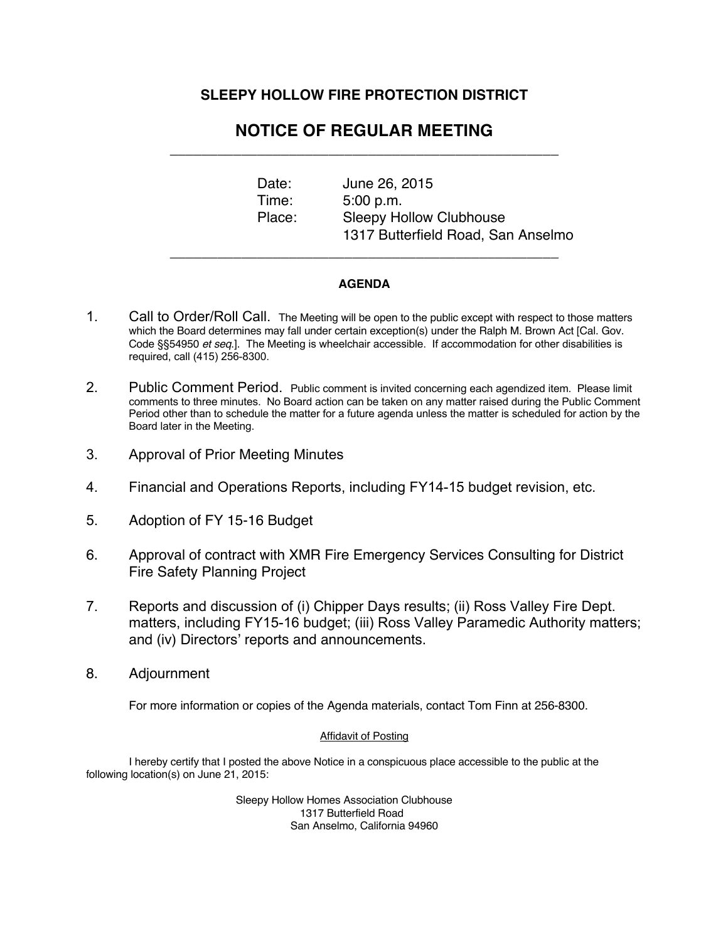## **SLEEPY HOLLOW FIRE PROTECTION DISTRICT**

## **NOTICE OF REGULAR MEETING**  \_\_\_\_\_\_\_\_\_\_\_\_\_\_\_\_\_\_\_\_\_\_\_\_\_\_\_\_\_\_\_\_\_\_\_\_\_\_\_\_\_\_\_\_\_\_\_\_\_

Date: June 26, 2015 Time: 5:00 p.m. Place: Sleepy Hollow Clubhouse 1317 Butterfield Road, San Anselmo

## **AGENDA**

\_\_\_\_\_\_\_\_\_\_\_\_\_\_\_\_\_\_\_\_\_\_\_\_\_\_\_\_\_\_\_\_\_\_\_\_\_\_\_\_\_\_\_\_\_\_\_\_\_

- 1. Call to Order/Roll Call. The Meeting will be open to the public except with respect to those matters which the Board determines may fall under certain exception(s) under the Ralph M. Brown Act [Cal. Gov. Code §§54950 *et seq*.]. The Meeting is wheelchair accessible. If accommodation for other disabilities is required, call (415) 256-8300.
- 2. Public Comment Period. Public comment is invited concerning each agendized item. Please limit comments to three minutes. No Board action can be taken on any matter raised during the Public Comment Period other than to schedule the matter for a future agenda unless the matter is scheduled for action by the Board later in the Meeting.
- 3. Approval of Prior Meeting Minutes
- 4. Financial and Operations Reports, including FY14-15 budget revision, etc.
- 5. Adoption of FY 15-16 Budget
- 6. Approval of contract with XMR Fire Emergency Services Consulting for District Fire Safety Planning Project
- 7. Reports and discussion of (i) Chipper Days results; (ii) Ross Valley Fire Dept. matters, including FY15-16 budget; (iii) Ross Valley Paramedic Authority matters; and (iv) Directors' reports and announcements.
- 8. Adjournment

For more information or copies of the Agenda materials, contact Tom Finn at 256-8300.

## Affidavit of Posting

I hereby certify that I posted the above Notice in a conspicuous place accessible to the public at the following location(s) on June 21, 2015:

> Sleepy Hollow Homes Association Clubhouse 1317 Butterfield Road San Anselmo, California 94960